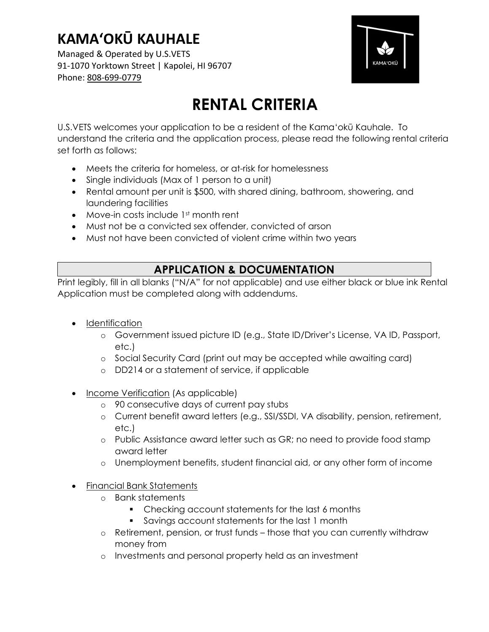Managed & Operated by U.S.VETS 91-1070 Yorktown Street | Kapolei, HI 96707 Phone: 808-699-0779



# RENTAL CRITERIA

U.S.VETS welcomes your application to be a resident of the Kama'okū Kauhale. To understand the criteria and the application process, please read the following rental criteria set forth as follows:

- Meets the criteria for homeless, or at-risk for homelessness
- Single individuals (Max of 1 person to a unit)
- Rental amount per unit is \$500, with shared dining, bathroom, showering, and laundering facilities
- Move-in costs include 1<sup>st</sup> month rent
- Must not be a convicted sex offender, convicted of arson
- Must not have been convicted of violent crime within two years

### APPLICATION & DOCUMENTATION

Print legibly, fill in all blanks ("N/A" for not applicable) and use either black or blue ink Rental Application must be completed along with addendums.

- Identification
	- o Government issued picture ID (e.g., State ID/Driver's License, VA ID, Passport, etc.)
	- o Social Security Card (print out may be accepted while awaiting card)
	- o DD214 or a statement of service, if applicable
- Income Verification (As applicable)
	- o 90 consecutive days of current pay stubs
	- o Current benefit award letters (e.g., SSI/SSDI, VA disability, pension, retirement, etc.)
	- o Public Assistance award letter such as GR; no need to provide food stamp award letter
	- o Unemployment benefits, student financial aid, or any other form of income
- Financial Bank Statements
	- o Bank statements
		- Checking account statements for the last 6 months
		- Savings account statements for the last 1 month
	- o Retirement, pension, or trust funds those that you can currently withdraw money from
	- o Investments and personal property held as an investment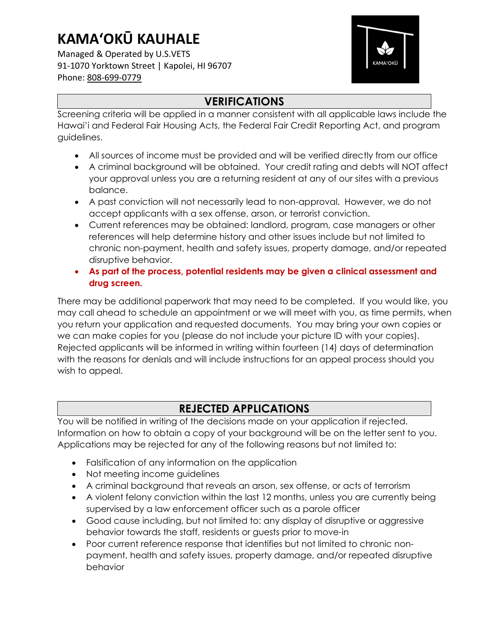Managed & Operated by U.S.VETS 91-1070 Yorktown Street | Kapolei, HI 96707 Phone: 808-699-0779



### **VERIFICATIONS**

Screening criteria will be applied in a manner consistent with all applicable laws include the Hawai'i and Federal Fair Housing Acts, the Federal Fair Credit Reporting Act, and program guidelines.

- All sources of income must be provided and will be verified directly from our office
- A criminal background will be obtained. Your credit rating and debts will NOT affect your approval unless you are a returning resident at any of our sites with a previous balance.
- A past conviction will not necessarily lead to non-approval. However, we do not accept applicants with a sex offense, arson, or terrorist conviction.
- Current references may be obtained: landlord, program, case managers or other references will help determine history and other issues include but not limited to chronic non-payment, health and safety issues, property damage, and/or repeated disruptive behavior.
- As part of the process, potential residents may be given a clinical assessment and drug screen.

There may be additional paperwork that may need to be completed. If you would like, you may call ahead to schedule an appointment or we will meet with you, as time permits, when you return your application and requested documents. You may bring your own copies or we can make copies for you (please do not include your picture ID with your copies). Rejected applicants will be informed in writing within fourteen (14) days of determination with the reasons for denials and will include instructions for an appeal process should you wish to appeal.

### REJECTED APPLICATIONS

You will be notified in writing of the decisions made on your application if rejected. Information on how to obtain a copy of your background will be on the letter sent to you. Applications may be rejected for any of the following reasons but not limited to:

- Falsification of any information on the application
- Not meeting income guidelines
- A criminal background that reveals an arson, sex offense, or acts of terrorism
- A violent felony conviction within the last 12 months, unless you are currently being supervised by a law enforcement officer such as a parole officer
- Good cause including, but not limited to: any display of disruptive or aggressive behavior towards the staff, residents or guests prior to move-in
- Poor current reference response that identifies but not limited to chronic nonpayment, health and safety issues, property damage, and/or repeated disruptive behavior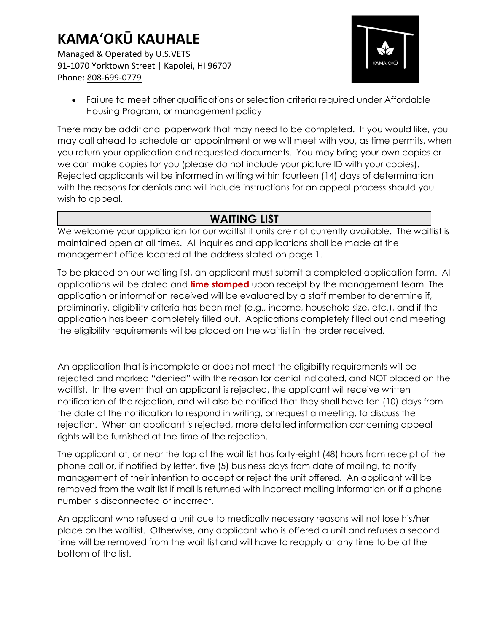Managed & Operated by U.S.VETS 91-1070 Yorktown Street | Kapolei, HI 96707 Phone: 808-699-0779



 Failure to meet other qualifications or selection criteria required under Affordable Housing Program, or management policy

There may be additional paperwork that may need to be completed. If you would like, you may call ahead to schedule an appointment or we will meet with you, as time permits, when you return your application and requested documents. You may bring your own copies or we can make copies for you (please do not include your picture ID with your copies). Rejected applicants will be informed in writing within fourteen (14) days of determination with the reasons for denials and will include instructions for an appeal process should you wish to appeal.

### WAITING LIST

We welcome your application for our waitlist if units are not currently available. The waitlist is maintained open at all times. All inquiries and applications shall be made at the management office located at the address stated on page 1.

To be placed on our waiting list, an applicant must submit a completed application form. All applications will be dated and **time stamped** upon receipt by the management team. The application or information received will be evaluated by a staff member to determine if, preliminarily, eligibility criteria has been met (e.g., income, household size, etc.), and if the application has been completely filled out. Applications completely filled out and meeting the eligibility requirements will be placed on the waitlist in the order received.

An application that is incomplete or does not meet the eligibility requirements will be rejected and marked "denied" with the reason for denial indicated, and NOT placed on the waitlist. In the event that an applicant is rejected, the applicant will receive written notification of the rejection, and will also be notified that they shall have ten (10) days from the date of the notification to respond in writing, or request a meeting, to discuss the rejection. When an applicant is rejected, more detailed information concerning appeal rights will be furnished at the time of the rejection.

The applicant at, or near the top of the wait list has forty-eight (48) hours from receipt of the phone call or, if notified by letter, five (5) business days from date of mailing, to notify management of their intention to accept or reject the unit offered. An applicant will be removed from the wait list if mail is returned with incorrect mailing information or if a phone number is disconnected or incorrect.

An applicant who refused a unit due to medically necessary reasons will not lose his/her place on the waitlist. Otherwise, any applicant who is offered a unit and refuses a second time will be removed from the wait list and will have to reapply at any time to be at the bottom of the list.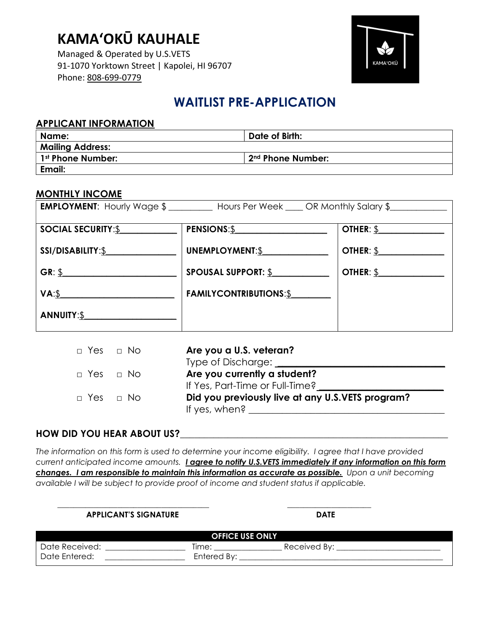Managed & Operated by U.S.VETS 91-1070 Yorktown Street | Kapolei, HI 96707 Phone: 808-699-0779



### WAITLIST PRE-APPLICATION

#### APPLICANT INFORMATION

| Name:                   | Date of Birth:    |
|-------------------------|-------------------|
| <b>Mailing Address:</b> |                   |
| 1st Phone Number:       | 2nd Phone Number: |
| Email:                  |                   |

#### MONTHLY INCOME

|                                                            | <b>EMPLOYMENT:</b> Hourly Wage \$___________ Hours Per Week _____ OR Monthly Salary \$_____________________ |                                            |
|------------------------------------------------------------|-------------------------------------------------------------------------------------------------------------|--------------------------------------------|
| <b>SOCIAL SECURITY:S</b>                                   | PENSIONS:\$                                                                                                 | $\overline{\text{OTHER: } \underline{\S}}$ |
| SSI/DISABILITY:\$                                          | UNEMPLOYMENT:\$                                                                                             | OTHER: \$                                  |
| $GR: \S$                                                   | <b>SPOUSAL SUPPORT: \$</b>                                                                                  | $\overline{\text{OTHER: } $ }$             |
| VA:                                                        | <b>FAMILYCONTRIBUTIONS:\$</b>                                                                               |                                            |
| ANNUITY:\$<br><u> 1980 - Jan Samuel Barbara, politik a</u> |                                                                                                             |                                            |

| $\Box$ Yes $\Box$ No | Are you a U.S. veteran?                          |
|----------------------|--------------------------------------------------|
|                      | Type of Discharge:                               |
| □ Yes □ No           | Are you currently a student?                     |
|                      | If Yes, Part-Time or Full-Time?                  |
| □ Yes □ No           | Did you previously live at any U.S.VETS program? |
|                      | If yes, when?                                    |

#### HOW DID YOU HEAR ABOUT US?

The information on this form is used to determine your income eligibility. I agree that I have provided current anticipated income amounts. *Lagree to notify U.S.VETS immediately if any information on this form* changes. I am responsible to maintain this information as accurate as possible. Upon a unit becoming available I will be subject to provide proof of income and student status if applicable.

 $\frac{1}{\sqrt{2}}$  ,  $\frac{1}{\sqrt{2}}$  ,  $\frac{1}{\sqrt{2}}$  ,  $\frac{1}{\sqrt{2}}$  ,  $\frac{1}{\sqrt{2}}$  ,  $\frac{1}{\sqrt{2}}$  ,  $\frac{1}{\sqrt{2}}$  ,  $\frac{1}{\sqrt{2}}$  ,  $\frac{1}{\sqrt{2}}$  ,  $\frac{1}{\sqrt{2}}$  ,  $\frac{1}{\sqrt{2}}$  ,  $\frac{1}{\sqrt{2}}$  ,  $\frac{1}{\sqrt{2}}$  ,  $\frac{1}{\sqrt{2}}$  ,  $\frac{1}{\sqrt{2}}$ 

| <b>APPLICANT'S SIGNATURE</b>    |                        | <b>DATE</b>  |
|---------------------------------|------------------------|--------------|
|                                 | <b>OFFICE USE ONLY</b> |              |
| Date Received:<br>Date Entered: | Time:<br>Entered By:   | Received By: |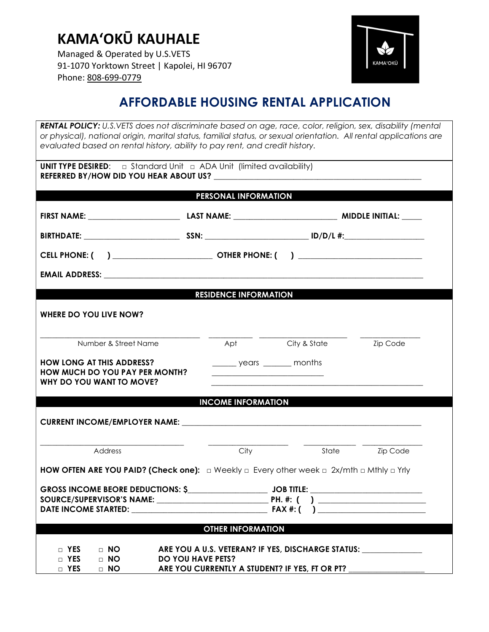Managed & Operated by U.S.VETS 91-1070 Yorktown Street | Kapolei, HI 96707 Phone: 808-699-0779



## AFFORDABLE HOUSING RENTAL APPLICATION

RENTAL POLICY: U.S.VETS does not discriminate based on age, race, color, religion, sex, disability (mental or physical), national origin, marital status, familial status, or sexual orientation. All rental applications are evaluated based on rental history, ability to pay rent, and credit history.

| <b>UNIT TYPE DESIRED:</b> $\Box$ Standard Unit $\Box$ ADA Unit (limited availability)                                                                                                                                              |                                                                                                                                                                                     |                                                                                                                                                                                                                               |                 |
|------------------------------------------------------------------------------------------------------------------------------------------------------------------------------------------------------------------------------------|-------------------------------------------------------------------------------------------------------------------------------------------------------------------------------------|-------------------------------------------------------------------------------------------------------------------------------------------------------------------------------------------------------------------------------|-----------------|
|                                                                                                                                                                                                                                    | <b>PERSONAL INFORMATION</b>                                                                                                                                                         |                                                                                                                                                                                                                               |                 |
|                                                                                                                                                                                                                                    |                                                                                                                                                                                     |                                                                                                                                                                                                                               |                 |
|                                                                                                                                                                                                                                    |                                                                                                                                                                                     |                                                                                                                                                                                                                               |                 |
|                                                                                                                                                                                                                                    |                                                                                                                                                                                     |                                                                                                                                                                                                                               |                 |
| <b>EMAIL ADDRESS:</b> The contract of the contract of the contract of the contract of the contract of the contract of the contract of the contract of the contract of the contract of the contract of the contract of the contract |                                                                                                                                                                                     |                                                                                                                                                                                                                               |                 |
|                                                                                                                                                                                                                                    | <b>RESIDENCE INFORMATION</b>                                                                                                                                                        |                                                                                                                                                                                                                               |                 |
| WHERE DO YOU LIVE NOW?                                                                                                                                                                                                             |                                                                                                                                                                                     |                                                                                                                                                                                                                               |                 |
| Number & Street Name                                                                                                                                                                                                               |                                                                                                                                                                                     | Apt City & State                                                                                                                                                                                                              | <b>Zip Code</b> |
| <b>HOW LONG AT THIS ADDRESS?</b><br><b>HOW MUCH DO YOU PAY PER MONTH?</b><br>WHY DO YOU WANT TO MOVE?                                                                                                                              | ________ years ________ months                                                                                                                                                      |                                                                                                                                                                                                                               |                 |
|                                                                                                                                                                                                                                    | <b>INCOME INFORMATION</b>                                                                                                                                                           |                                                                                                                                                                                                                               |                 |
|                                                                                                                                                                                                                                    |                                                                                                                                                                                     |                                                                                                                                                                                                                               |                 |
| Address                                                                                                                                                                                                                            | City                                                                                                                                                                                | State – State – State – State – State – State – State – State – State – State – State – State – State – State – State – State – State – State – State – State – State – State – State – State – State – State – State – State | <b>Zip Code</b> |
| <b>HOW OFTEN ARE YOU PAID? (Check one):</b> $\Box$ Weekly $\Box$ Every other week $\Box$ 2x/mth $\Box$ Mthly $\Box$ Yrly                                                                                                           |                                                                                                                                                                                     |                                                                                                                                                                                                                               |                 |
|                                                                                                                                                                                                                                    |                                                                                                                                                                                     |                                                                                                                                                                                                                               |                 |
|                                                                                                                                                                                                                                    | <b>OTHER INFORMATION</b>                                                                                                                                                            |                                                                                                                                                                                                                               |                 |
| $\Box$ YES<br>$\Box$ NO<br>$\Box$ YES<br>$\Box$ No<br>$\Box$ YES<br>$\Box$ NO                                                                                                                                                      | ARE YOU A U.S. VETERAN? IF YES, DISCHARGE STATUS: NAMEL YOU A U.S. VETERAN? IF YES, DISCHARGE STATUS:<br><b>DO YOU HAVE PETS?</b><br>ARE YOU CURRENTLY A STUDENT? IF YES, FT OR PT? |                                                                                                                                                                                                                               |                 |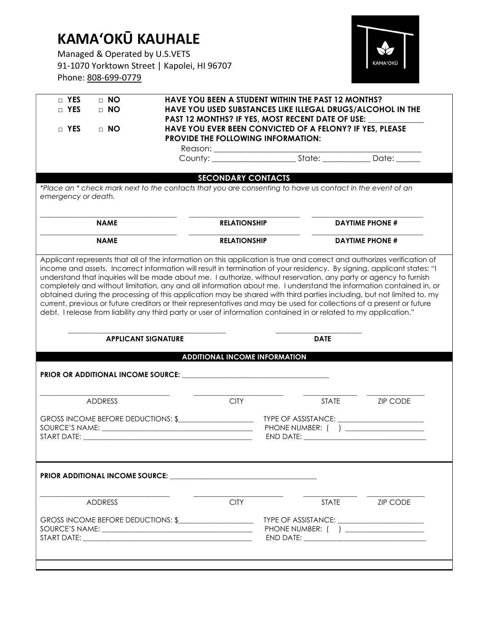Managed & Operated by U.S.VETS 91-1070 Yorktown Street | Kapolei, HI 96707 Phone: 808-699-0779



|                     | $\Box$ NO                  |                                                                                                                                                                                                                                                                                                                                                                 | <b>HAVE YOU BEEN A STUDENT WITHIN THE PAST 12 MONTHS?</b>                                                                                                                                                                     |                                                                                                                                                                                                                                                                                                                                                                                                                                                                                                   |
|---------------------|----------------------------|-----------------------------------------------------------------------------------------------------------------------------------------------------------------------------------------------------------------------------------------------------------------------------------------------------------------------------------------------------------------|-------------------------------------------------------------------------------------------------------------------------------------------------------------------------------------------------------------------------------|---------------------------------------------------------------------------------------------------------------------------------------------------------------------------------------------------------------------------------------------------------------------------------------------------------------------------------------------------------------------------------------------------------------------------------------------------------------------------------------------------|
| $\Box$ YES          | $\Box$ NO                  |                                                                                                                                                                                                                                                                                                                                                                 | HAVE YOU USED SUBSTANCES LIKE ILLEGAL DRUGS/ALCOHOL IN THE<br>PAST 12 MONTHS? IF YES, MOST RECENT DATE OF USE:                                                                                                                |                                                                                                                                                                                                                                                                                                                                                                                                                                                                                                   |
| $\Box$ YES          | $\Box$ NO                  |                                                                                                                                                                                                                                                                                                                                                                 | HAVE YOU EVER BEEN CONVICTED OF A FELONY? IF YES, PLEASE                                                                                                                                                                      |                                                                                                                                                                                                                                                                                                                                                                                                                                                                                                   |
|                     |                            | <b>PROVIDE THE FOLLOWING INFORMATION:</b>                                                                                                                                                                                                                                                                                                                       |                                                                                                                                                                                                                               |                                                                                                                                                                                                                                                                                                                                                                                                                                                                                                   |
|                     |                            |                                                                                                                                                                                                                                                                                                                                                                 |                                                                                                                                                                                                                               |                                                                                                                                                                                                                                                                                                                                                                                                                                                                                                   |
|                     |                            |                                                                                                                                                                                                                                                                                                                                                                 |                                                                                                                                                                                                                               |                                                                                                                                                                                                                                                                                                                                                                                                                                                                                                   |
|                     |                            | <b>SECONDARY CONTACTS</b>                                                                                                                                                                                                                                                                                                                                       |                                                                                                                                                                                                                               |                                                                                                                                                                                                                                                                                                                                                                                                                                                                                                   |
| emergency or death. |                            | *Place an * check mark next to the contacts that you are consenting to have us contact in the event of an                                                                                                                                                                                                                                                       |                                                                                                                                                                                                                               |                                                                                                                                                                                                                                                                                                                                                                                                                                                                                                   |
|                     |                            |                                                                                                                                                                                                                                                                                                                                                                 |                                                                                                                                                                                                                               |                                                                                                                                                                                                                                                                                                                                                                                                                                                                                                   |
|                     | <b>NAME</b>                | <b>RELATIONSHIP</b>                                                                                                                                                                                                                                                                                                                                             |                                                                                                                                                                                                                               | <b>DAYTIME PHONE #</b>                                                                                                                                                                                                                                                                                                                                                                                                                                                                            |
|                     | <b>NAME</b>                | <b>RELATIONSHIP</b>                                                                                                                                                                                                                                                                                                                                             |                                                                                                                                                                                                                               | <b>DAYTIME PHONE #</b>                                                                                                                                                                                                                                                                                                                                                                                                                                                                            |
|                     |                            | understand that inquiries will be made about me. I authorize, without reservation, any party or agency to furnish<br>current, previous or future creditors or their representatives and may be used for collections of a present or future<br>debt. I release from liability any third party or user of information contained in or related to my application." |                                                                                                                                                                                                                               | Applicant represents that all of the information on this application is true and correct and authorizes verification of<br>income and assets. Incorrect information will result in termination of your residency. By signing, applicant states: "I<br>completely and without limitation, any and all information about me. I understand the information contained in, or<br>obtained during the processing of this application may be shared with third parties including, but not limited to, my |
|                     | <b>APPLICANT SIGNATURE</b> |                                                                                                                                                                                                                                                                                                                                                                 | <b>DATE</b>                                                                                                                                                                                                                   |                                                                                                                                                                                                                                                                                                                                                                                                                                                                                                   |
|                     |                            | <b>ADDITIONAL INCOME INFORMATION</b>                                                                                                                                                                                                                                                                                                                            |                                                                                                                                                                                                                               |                                                                                                                                                                                                                                                                                                                                                                                                                                                                                                   |
|                     |                            |                                                                                                                                                                                                                                                                                                                                                                 |                                                                                                                                                                                                                               |                                                                                                                                                                                                                                                                                                                                                                                                                                                                                                   |
|                     |                            |                                                                                                                                                                                                                                                                                                                                                                 |                                                                                                                                                                                                                               |                                                                                                                                                                                                                                                                                                                                                                                                                                                                                                   |
|                     |                            |                                                                                                                                                                                                                                                                                                                                                                 |                                                                                                                                                                                                                               |                                                                                                                                                                                                                                                                                                                                                                                                                                                                                                   |
|                     | <b>ADDRESS</b>             | <b>CITY</b>                                                                                                                                                                                                                                                                                                                                                     | <b>STATE</b>                                                                                                                                                                                                                  | <b>ZIP CODE</b>                                                                                                                                                                                                                                                                                                                                                                                                                                                                                   |
|                     |                            |                                                                                                                                                                                                                                                                                                                                                                 |                                                                                                                                                                                                                               |                                                                                                                                                                                                                                                                                                                                                                                                                                                                                                   |
|                     |                            | GROSS INCOME BEFORE DEDUCTIONS: \$                                                                                                                                                                                                                                                                                                                              |                                                                                                                                                                                                                               | TYPE OF ASSISTANCE: _______________________<br>PHONE NUMBER: ( ) ___________________                                                                                                                                                                                                                                                                                                                                                                                                              |
|                     |                            |                                                                                                                                                                                                                                                                                                                                                                 |                                                                                                                                                                                                                               |                                                                                                                                                                                                                                                                                                                                                                                                                                                                                                   |
|                     |                            |                                                                                                                                                                                                                                                                                                                                                                 |                                                                                                                                                                                                                               |                                                                                                                                                                                                                                                                                                                                                                                                                                                                                                   |
|                     |                            |                                                                                                                                                                                                                                                                                                                                                                 |                                                                                                                                                                                                                               |                                                                                                                                                                                                                                                                                                                                                                                                                                                                                                   |
|                     | <b>ADDRESS</b>             | <b>CITY</b>                                                                                                                                                                                                                                                                                                                                                     | <b>STATE</b>                                                                                                                                                                                                                  | <b>ZIP CODE</b>                                                                                                                                                                                                                                                                                                                                                                                                                                                                                   |
|                     |                            |                                                                                                                                                                                                                                                                                                                                                                 |                                                                                                                                                                                                                               |                                                                                                                                                                                                                                                                                                                                                                                                                                                                                                   |
|                     |                            | GROSS INCOME BEFORE DEDUCTIONS: \$                                                                                                                                                                                                                                                                                                                              |                                                                                                                                                                                                                               | TYPE OF ASSISTANCE: _________________________                                                                                                                                                                                                                                                                                                                                                                                                                                                     |
|                     |                            |                                                                                                                                                                                                                                                                                                                                                                 | END DATE: And the state of the state of the state of the state of the state of the state of the state of the state of the state of the state of the state of the state of the state of the state of the state of the state of | PHONE NUMBER: ( ) __________________                                                                                                                                                                                                                                                                                                                                                                                                                                                              |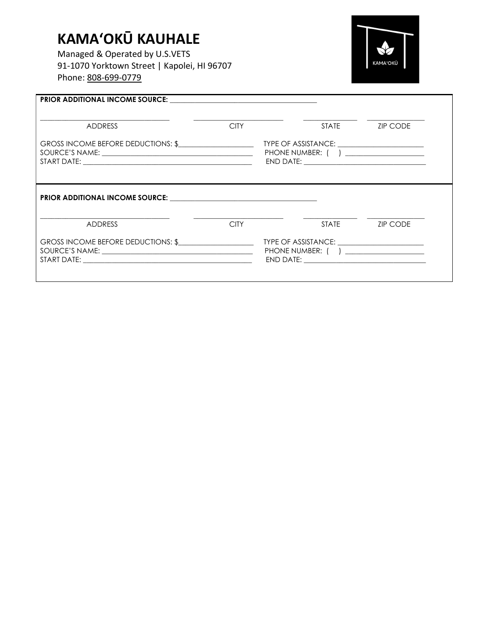Managed & Operated by U.S.VETS 91-1070 Yorktown Street | Kapolei, HI 96707 Phone: 808-699-0779



| <b>ADDRESS</b>                     | <b>CITY</b> |                                                                                       | STATE ZIP CODE  |
|------------------------------------|-------------|---------------------------------------------------------------------------------------|-----------------|
| GROSS INCOME BEFORE DEDUCTIONS: \$ |             | TYPE OF ASSISTANCE: _________________________<br>PHONE NUMBER: ( ) __________________ |                 |
|                                    |             |                                                                                       |                 |
|                                    |             |                                                                                       |                 |
| <b>ADDRESS</b>                     | <b>CITY</b> | <b>STATE</b>                                                                          | <b>ZIP CODE</b> |
| GROSS INCOME BEFORE DEDUCTIONS: \$ |             | TYPE OF ASSISTANCE: _______________________<br>PHONE NUMBER: ( ) __________________   |                 |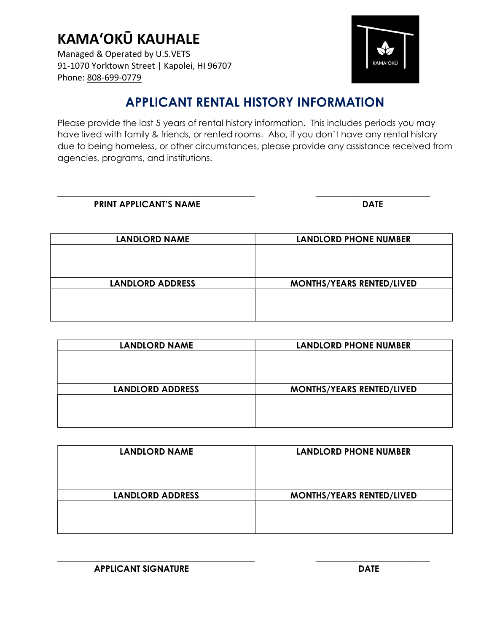Managed & Operated by U.S.VETS 91-1070 Yorktown Street | Kapolei, HI 96707 Phone: 808-699-0779



## APPLICANT RENTAL HISTORY INFORMATION

Please provide the last 5 years of rental history information. This includes periods you may have lived with family & friends, or rented rooms. Also, if you don't have any rental history due to being homeless, or other circumstances, please provide any assistance received from agencies, programs, and institutions.

\_\_\_\_\_\_\_\_\_\_\_\_\_\_\_\_\_\_\_\_\_\_\_\_\_\_\_\_\_\_\_\_\_\_\_\_\_\_\_\_\_\_\_\_\_ \_\_\_\_\_\_\_\_\_\_\_\_\_\_\_\_\_\_\_\_\_\_\_\_\_\_

| <b>PRINT APPLICANT'S NAME</b> | <b>DATE</b> |
|-------------------------------|-------------|
|-------------------------------|-------------|

| <b>LANDLORD NAME</b>    | <b>LANDLORD PHONE NUMBER</b>     |
|-------------------------|----------------------------------|
|                         |                                  |
|                         |                                  |
|                         |                                  |
| <b>LANDLORD ADDRESS</b> | <b>MONTHS/YEARS RENTED/LIVED</b> |
|                         |                                  |
|                         |                                  |
|                         |                                  |

| <b>LANDLORD NAME</b>    | <b>LANDLORD PHONE NUMBER</b>     |
|-------------------------|----------------------------------|
|                         |                                  |
|                         |                                  |
|                         |                                  |
| <b>LANDLORD ADDRESS</b> | <b>MONTHS/YEARS RENTED/LIVED</b> |
|                         |                                  |
|                         |                                  |
|                         |                                  |

| <b>LANDLORD NAME</b>    | <b>LANDLORD PHONE NUMBER</b>     |
|-------------------------|----------------------------------|
|                         |                                  |
|                         |                                  |
|                         |                                  |
| <b>LANDLORD ADDRESS</b> | <b>MONTHS/YEARS RENTED/LIVED</b> |
|                         |                                  |
|                         |                                  |
|                         |                                  |

\_\_\_\_\_\_\_\_\_\_\_\_\_\_\_\_\_\_\_\_\_\_\_\_\_\_\_\_\_\_\_\_\_\_\_\_\_\_\_\_\_\_\_\_\_ \_\_\_\_\_\_\_\_\_\_\_\_\_\_\_\_\_\_\_\_\_\_\_\_\_\_